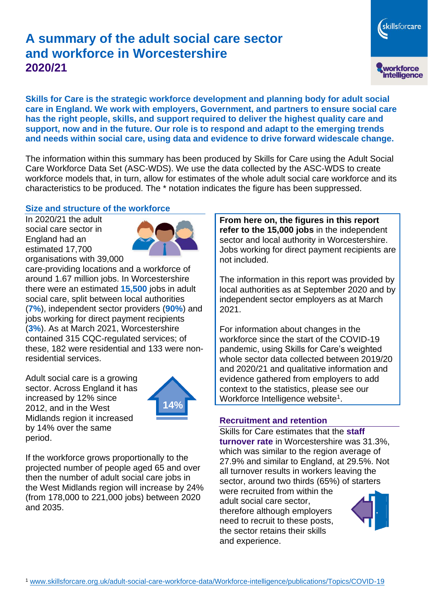# **A summary of the adult social care sector and workforce in Worcestershire 2020/21**

skillsforcare workforce<br>intelligence

**Skills for Care is the strategic workforce development and planning body for adult social care in England. We work with employers, Government, and partners to ensure social care has the right people, skills, and support required to deliver the highest quality care and support, now and in the future. Our role is to respond and adapt to the emerging trends and needs within social care, using data and evidence to drive forward widescale change.**

The information within this summary has been produced by Skills for Care using the Adult Social Care Workforce Data Set (ASC-WDS). We use the data collected by the ASC-WDS to create workforce models that, in turn, allow for estimates of the whole adult social care workforce and its characteristics to be produced. The \* notation indicates the figure has been suppressed.

#### **Size and structure of the workforce**

In 2020/21 the adult social care sector in England had an estimated 17,700 organisations with 39,000



care-providing locations and a workforce of around 1.67 million jobs. In Worcestershire there were an estimated **15,500** jobs in adult social care, split between local authorities (**7%**), independent sector providers (**90%**) and jobs working for direct payment recipients (**3%**). As at March 2021, Worcestershire contained 315 CQC-regulated services; of these, 182 were residential and 133 were nonresidential services.

Adult social care is a growing sector. Across England it has increased by 12% since 2012, and in the West Midlands region it increased by 14% over the same period.



If the workforce grows proportionally to the projected number of people aged 65 and over then the number of adult social care jobs in the West Midlands region will increase by 24% (from 178,000 to 221,000 jobs) between 2020 and 2035.

**From here on, the figures in this report refer to the 15,000 jobs** in the independent sector and local authority in Worcestershire. Jobs working for direct payment recipients are not included.

The information in this report was provided by local authorities as at September 2020 and by independent sector employers as at March 2021.

For information about changes in the workforce since the start of the COVID-19 pandemic, using Skills for Care's weighted whole sector data collected between 2019/20 and 2020/21 and qualitative information and evidence gathered from employers to add context to the statistics, please see our Workforce Intelligence website<sup>1</sup>.

#### **Recruitment and retention**

Skills for Care estimates that the **staff turnover rate** in Worcestershire was 31.3%, which was similar to the region average of 27.9% and similar to England, at 29.5%. Not all turnover results in workers leaving the sector, around two thirds (65%) of starters were recruited from within the adult social care sector,

therefore although employers need to recruit to these posts, the sector retains their skills and experience.

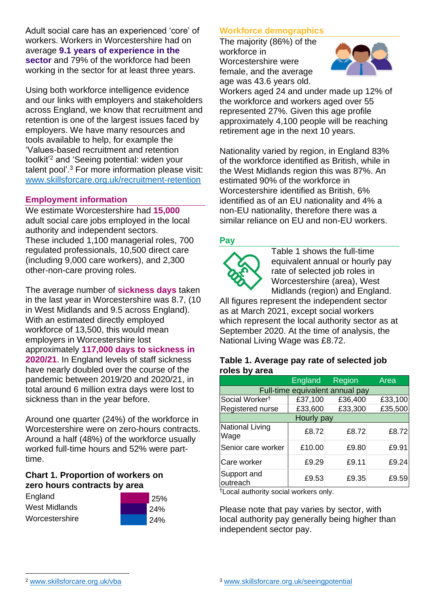Adult social care has an experienced 'core' of workers. Workers in Worcestershire had on average **9.1 years of experience in the sector** and 79% of the workforce had been working in the sector for at least three years.

Using both workforce intelligence evidence and our links with employers and stakeholders across England, we know that recruitment and retention is one of the largest issues faced by employers. We have many resources and tools available to help, for example the 'Values-based recruitment and retention toolkit'<sup>2</sup> and 'Seeing potential: widen your talent pool'. <sup>3</sup> For more information please visit: [www.skillsforcare.org.uk/recruitment-retention](http://www.skillsforcare.org.uk/recruitment-retention)

#### **Employment information**

We estimate Worcestershire had **15,000** adult social care jobs employed in the local authority and independent sectors. These included 1,100 managerial roles, 700 regulated professionals, 10,500 direct care (including 9,000 care workers), and 2,300 other-non-care proving roles.

The average number of **sickness days** taken in the last year in Worcestershire was 8.7, (10 in West Midlands and 9.5 across England). With an estimated directly employed workforce of 13,500, this would mean employers in Worcestershire lost approximately **117,000 days to sickness in 2020/21**. In England levels of staff sickness have nearly doubled over the course of the pandemic between 2019/20 and 2020/21, in total around 6 million extra days were lost to sickness than in the year before.

Around one quarter (24%) of the workforce in Worcestershire were on zero-hours contracts. Around a half (48%) of the workforce usually worked full-time hours and 52% were parttime.

#### **Chart 1. Proportion of workers on zero hours contracts by area**

| England        | 25%        |
|----------------|------------|
| West Midlands  | 24%        |
| Worcestershire | <b>24%</b> |

#### **Workforce demographics**

The majority (86%) of the workforce in Worcestershire were female, and the average age was 43.6 years old.



Workers aged 24 and under made up 12% of the workforce and workers aged over 55 represented 27%. Given this age profile approximately 4,100 people will be reaching retirement age in the next 10 years.

Nationality varied by region, in England 83% of the workforce identified as British, while in the West Midlands region this was 87%. An estimated 90% of the workforce in Worcestershire identified as British, 6% identified as of an EU nationality and 4% a non-EU nationality, therefore there was a similar reliance on EU and non-EU workers.

#### **Pay**



Table 1 shows the full-time equivalent annual or hourly pay rate of selected job roles in Worcestershire (area), West Midlands (region) and England.

All figures represent the independent sector as at March 2021, except social workers which represent the local authority sector as at September 2020. At the time of analysis, the National Living Wage was £8.72.

#### **Table 1. Average pay rate of selected job roles by area**

|                                 | <b>England</b> | Region  | Area    |
|---------------------------------|----------------|---------|---------|
| Full-time equivalent annual pay |                |         |         |
| Social Worker <sup>t</sup>      | £37,100        | £36,400 | £33,100 |
| Registered nurse                | £33,600        | £33,300 | £35,500 |
| Hourly pay                      |                |         |         |
| National Living<br>Wage         | £8.72          | £8.72   | £8.72   |
| Senior care worker              | £10.00         | £9.80   | £9.91   |
| Care worker                     | £9.29          | £9.11   | £9.24   |
| Support and<br>outreach         | £9.53          | £9.35   | £9.59   |

†Local authority social workers only.

Please note that pay varies by sector, with local authority pay generally being higher than independent sector pay.

[www.skillsforcare.org.uk/vba](http://www.skillsforcare.org.uk/vba)